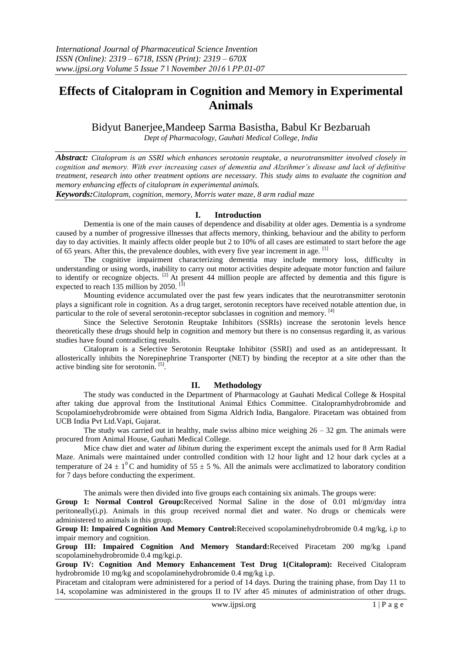# **Effects of Citalopram in Cognition and Memory in Experimental Animals**

Bidyut Banerjee,Mandeep Sarma Basistha, Babul Kr Bezbaruah

*Dept of Pharmacology, Gauhati Medical College, India*

*Abstract: Citalopram is an SSRI which enhances serotonin reuptake, a neurotransmitter involved closely in cognition and memory. With ever increasing cases of dementia and Alzeihmer's disease and lack of definitive treatment, research into other treatment options are necessary. This study aims to evaluate the cognition and memory enhancing effects of citalopram in experimental animals.* 

*Keywords:Citalopram, cognition, memory, Morris water maze, 8 arm radial maze*

## **I. Introduction**

Dementia is one of the main causes of dependence and disability at older ages. Dementia is a syndrome caused by a number of progressive illnesses that affects memory, thinking, behaviour and the ability to perform day to day activities. It mainly affects older people but 2 to 10% of all cases are estimated to start before the age of 65 years. After this, the prevalence doubles, with every five year increment in age. [1]

The cognitive impairment characterizing dementia may include memory loss, difficulty in understanding or using words, inability to carry out motor activities despite adequate motor function and failure to identify or recognize objects. [2] At present 44 million people are affected by dementia and this figure is expected to reach 135 million by 2050.  $\left[ \frac{3}{2} \right]$ 

Mounting evidence accumulated over the past few years indicates that the neurotransmitter serotonin plays a significant role in cognition. As a drug target, serotonin receptors have received notable attention due, in particular to the role of several serotonin-receptor subclasses in cognition and memory. [4]

Since the Selective Serotonin Reuptake Inhibitors (SSRIs) increase the serotonin levels hence theoretically these drugs should help in cognition and memory but there is no consensus regarding it, as various studies have found contradicting results.

Citalopram is a Selective Serotonin Reuptake Inhibitor (SSRI) and used as an antidepressant. It allosterically inhibits the Norepinephrine Transporter (NET) by binding the receptor at a site other than the active binding site for serotonin. [5].

## **II. Methodology**

The study was conducted in the Department of Pharmacology at Gauhati Medical College & Hospital after taking due approval from the Institutional Animal Ethics Committee. Citalopramhydrobromide and Scopolaminehydrobromide were obtained from Sigma Aldrich India, Bangalore. Piracetam was obtained from UCB India Pvt Ltd.Vapi, Gujarat.

The study was carried out in healthy, male swiss albino mice weighing  $26 - 32$  gm. The animals were procured from Animal House, Gauhati Medical College.

Mice chaw diet and water *ad libitum* during the experiment except the animals used for 8 Arm Radial Maze. Animals were maintained under controlled condition with 12 hour light and 12 hour dark cycles at a temperature of 24  $\pm$  1<sup>0</sup>C and humidity of 55  $\pm$  5 %. All the animals were acclimatized to laboratory condition for 7 days before conducting the experiment.

The animals were then divided into five groups each containing six animals. The groups were:

**Group I: Normal Control Group:**Received Normal Saline in the dose of 0.01 ml/gm/day intra peritoneally(i.p). Animals in this group received normal diet and water. No drugs or chemicals were administered to animals in this group.

**Group II: Impaired Cognition And Memory Control:**Received scopolaminehydrobromide 0.4 mg/kg, i.p to impair memory and cognition.

**Group III: Impaired Cognition And Memory Standard:**Received Piracetam 200 mg/kg i.pand scopolaminehydrobromide 0.4 mg/kgi.p.

**Group IV: Cognition And Memory Enhancement Test Drug 1(Citalopram):** Received Citalopram hydrobromide 10 mg/kg and scopolaminehydrobromide 0.4 mg/kg i.p.

Piracetam and citalopram were administered for a period of 14 days. During the training phase, from Day 11 to 14, scopolamine was administered in the groups II to IV after 45 minutes of administration of other drugs.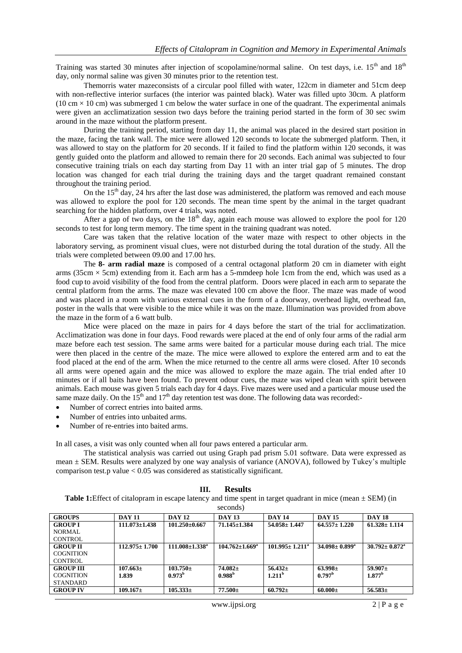Training was started 30 minutes after injection of scopolamine/normal saline. On test days, i.e.  $15<sup>th</sup>$  and  $18<sup>th</sup>$ day, only normal saline was given 30 minutes prior to the retention test.

Themorris water mazeconsists of a circular pool filled with water, 122cm in diameter and 51cm deep with non-reflective interior surfaces (the interior was painted black). Water was filled upto 30cm. A platform  $(10 \text{ cm} \times 10 \text{ cm})$  was submerged 1 cm below the water surface in one of the quadrant. The experimental animals were given an acclimatization session two days before the training period started in the form of 30 sec swim around in the maze without the platform present.

During the training period, starting from day 11, the animal was placed in the desired start position in the maze, facing the tank wall. The mice were allowed 120 seconds to locate the submerged platform. Then, it was allowed to stay on the platform for 20 seconds. If it failed to find the platform within 120 seconds, it was gently guided onto the platform and allowed to remain there for 20 seconds. Each animal was subjected to four consecutive training trials on each day starting from Day 11 with an inter trial gap of 5 minutes. The drop location was changed for each trial during the training days and the target quadrant remained constant throughout the training period.

On the 15<sup>th</sup> day, 24 hrs after the last dose was administered, the platform was removed and each mouse was allowed to explore the pool for 120 seconds. The mean time spent by the animal in the target quadrant searching for the hidden platform, over 4 trials, was noted.

After a gap of two days, on the  $18<sup>th</sup>$  day, again each mouse was allowed to explore the pool for 120 seconds to test for long term memory. The time spent in the training quadrant was noted.

Care was taken that the relative location of the water maze with respect to other objects in the laboratory serving, as prominent visual clues, were not disturbed during the total duration of the study. All the trials were completed between 09.00 and 17.00 hrs.

The **8- arm radial maze** is composed of a central octagonal platform 20 cm in diameter with eight arms (35cm  $\times$  5cm) extending from it. Each arm has a 5-mmdeep hole 1cm from the end, which was used as a food cup to avoid visibility of the food from the central platform. Doors were placed in each arm to separate the central platform from the arms. The maze was elevated 100 cm above the floor. The maze was made of wood and was placed in a room with various external cues in the form of a doorway, overhead light, overhead fan, poster in the walls that were visible to the mice while it was on the maze. Illumination was provided from above the maze in the form of a 6 watt bulb.

Mice were placed on the maze in pairs for 4 days before the start of the trial for acclimatization. Acclimatization was done in four days. Food rewards were placed at the end of only four arms of the radial arm maze before each test session. The same arms were baited for a particular mouse during each trial. The mice were then placed in the centre of the maze. The mice were allowed to explore the entered arm and to eat the food placed at the end of the arm. When the mice returned to the centre all arms were closed. After 10 seconds all arms were opened again and the mice was allowed to explore the maze again. The trial ended after 10 minutes or if all baits have been found. To prevent odour cues, the maze was wiped clean with spirit between animals. Each mouse was given 5 trials each day for 4 days. Five mazes were used and a particular mouse used the same maze daily. On the  $15<sup>th</sup>$  and  $17<sup>th</sup>$  day retention test was done. The following data was recorded:-

- Number of correct entries into baited arms.
- Number of entries into unbaited arms.
- Number of re-entries into baited arms.

In all cases, a visit was only counted when all four paws entered a particular arm.

The statistical analysis was carried out using Graph pad prism 5.01 software. Data were expressed as mean ± SEM. Results were analyzed by one way analysis of variance (ANOVA), followed by Tukey's multiple comparison test.p value < 0.05 was considered as statistically significant.

#### **III. Results**

**Table 1:**Effect of citalopram in escape latency and time spent in target quadrant in mice (mean  $\pm$  SEM) (in seconds)

|                  |                     |                       | 00001007                    |                       |                            |                                 |
|------------------|---------------------|-----------------------|-----------------------------|-----------------------|----------------------------|---------------------------------|
| <b>GROUPS</b>    | <b>DAY 11</b>       | <b>DAY 12</b>         | <b>DAY 13</b>               | <b>DAY 14</b>         | <b>DAY 15</b>              | <b>DAY 18</b>                   |
| <b>GROUP I</b>   | $111.073 \pm 1.438$ | $101.250\pm0.667$     | $71.145 \pm 1.384$          | $54.058 \pm 1.447$    | $64.557 \pm 1.220$         | $61.328 \pm 1.114$              |
| NORMAL           |                     |                       |                             |                       |                            |                                 |
| <b>CONTROL</b>   |                     |                       |                             |                       |                            |                                 |
| <b>GROUP II</b>  | $112.975 \pm 1.700$ | $111.008 \pm 1.338^a$ | $104.762 \pm 1.669^{\circ}$ | $101.995 \pm 1.211^a$ | $34.098 \pm 0.899^{\circ}$ | $30.792 \pm 0.872^{\mathrm{a}}$ |
| <b>COGNITION</b> |                     |                       |                             |                       |                            |                                 |
| CONTROL          |                     |                       |                             |                       |                            |                                 |
| <b>GROUP III</b> | $107.663\pm$        | $103.750 \pm$         | $74.082 +$                  | $56.432+$             | $63.998\pm$                | $59.907\pm$                     |
| <b>COGNITION</b> | 1.839               | $0.973^b$             | 0.988 <sup>b</sup>          | 1.211 <sup>b</sup>    | 0.797 <sup>b</sup>         | 1.877 <sup>b</sup>              |
| <b>STANDARD</b>  |                     |                       |                             |                       |                            |                                 |
| <b>GROUP IV</b>  | $109.167 \pm$       | $105.333\pm$          | $77.500 \pm$                | $60.792 \pm$          | $60.000 \pm$               | $56.583\pm$                     |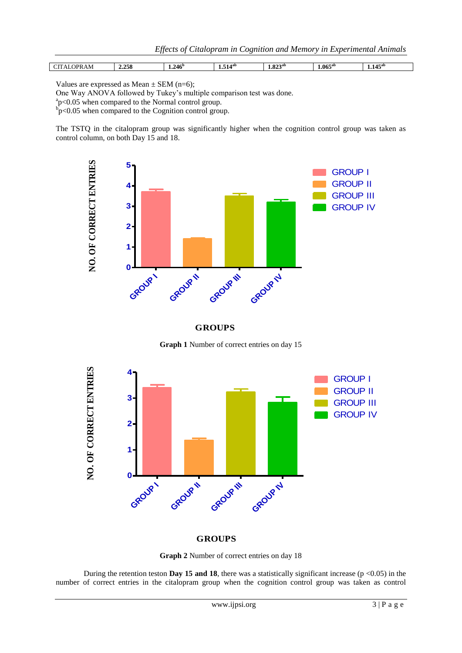| 7PR<br>AM | 2.258 | 246 <sup>p</sup><br>1.4TV | $1.514^{ab}$ | O22ab<br>1.04. | $1.065^{ab}$ | $1.145$ <sup>ar</sup> |
|-----------|-------|---------------------------|--------------|----------------|--------------|-----------------------|
|           |       |                           |              |                |              |                       |

Values are expressed as Mean  $\pm$  SEM (n=6);

One Way ANOVA followed by Tukey's multiple comparison test was done.

a p<0.05 when compared to the Normal control group.

 $\overrightarrow{p}$  p<0.05 when compared to the Cognition control group.

The TSTQ in the citalopram group was significantly higher when the cognition control group was taken as control column, on both Day 15 and 18.



**GROUPS**

**Graph 1** Number of correct entries on day 15



### **GROUPS**

**Graph 2** Number of correct entries on day 18

During the retention teston **Day 15 and 18**, there was a statistically significant increase ( $p \le 0.05$ ) in the number of correct entries in the citalopram group when the cognition control group was taken as control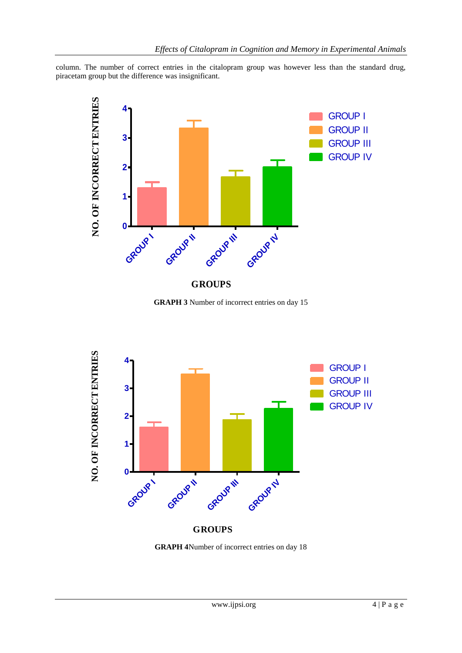column. The number of correct entries in the citalopram group was however less than the standard drug, piracetam group but the difference was insignificant.



**GRAPH 3** Number of incorrect entries on day 15



**GRAPH 4**Number of incorrect entries on day 18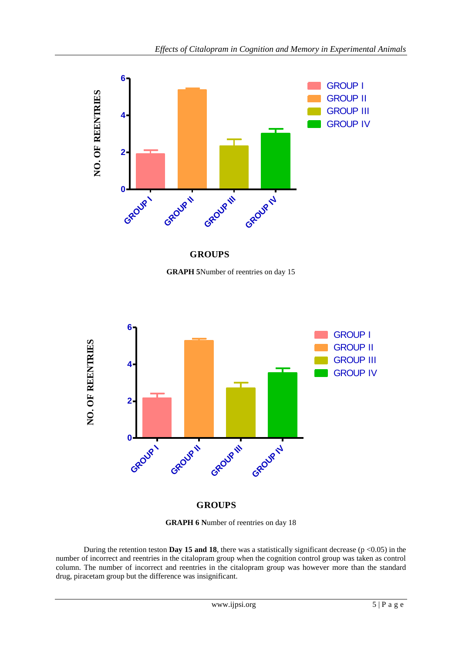

**GROUPS**

**GRAPH 5**Number of reentries on day 15



**GRAPH 6 N**umber of reentries on day 18

During the retention teston **Day 15 and 18**, there was a statistically significant decrease ( $p \le 0.05$ ) in the number of incorrect and reentries in the citalopram group when the cognition control group was taken as control column. The number of incorrect and reentries in the citalopram group was however more than the standard drug, piracetam group but the difference was insignificant.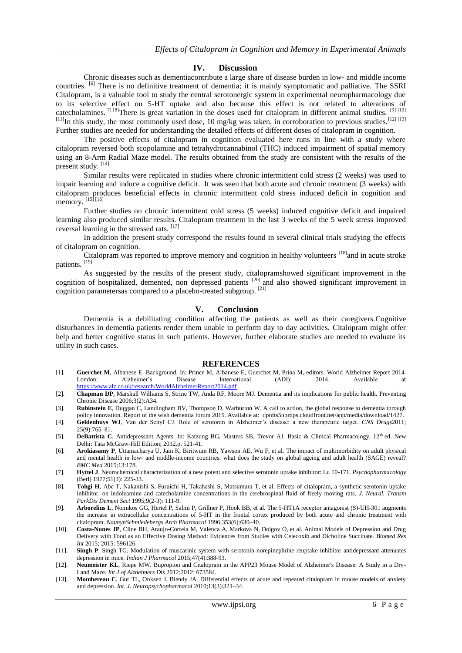#### **IV. Discussion**

Chronic diseases such as dementiacontribute a large share of disease burden in low- and middle income countries. [6] There is no definitive treatment of dementia; it is mainly symptomatic and palliative. The SSRI Citalopram, is a valuable tool to study the central serotonergic system in experimental neuropharmacology due to its selective effect on 5-HT uptake and also because this effect is not related to alterations of catecholamines.<sup>[7] [8]</sup>There is great variation in the doses used for citalopram in different animal studies. <sup>[9] [10]</sup>  $^{[11]}$ In this study, the most commonly used dose, 10 mg/kg was taken, in corroboration to previous studies.<sup>[12] [13]</sup> Further studies are needed for understanding the detailed effects of different doses of citalopram in cognition.

The positive effects of citalopram in cognition evaluated here runs in line with a study where citalopram reversed both scopolamine and tetrahydrocannabinol (THC) induced impairment of spatial memory using an 8-Arm Radial Maze model. The results obtained from the study are consistent with the results of the present study. [14]

Similar results were replicated in studies where chronic intermittent cold stress (2 weeks) was used to impair learning and induce a cognitive deficit. It was seen that both acute and chronic treatment (3 weeks) with citalopram produces beneficial effects in chronic intermittent cold stress induced deficit in cognition and memory. [15] [16]

Further studies on chronic intermittent cold stress (5 weeks) induced cognitive deficit and impaired learning also produced similar results. Citalopram treatment in the last 3 weeks of the 5 week stress improved reversal learning in the stressed rats. [17]

In addition the present study correspond the results found in several clinical trials studying the effects of citalopram on cognition.

Citalopram was reported to improve memory and cognition in healthy volunteers <sup>[18]</sup>and in acute stroke patients. [19]

As suggested by the results of the present study, citalopramshowed significant improvement in the cognition of hospitalized, demented, non depressed patients <sup>[20]</sup> and also showed significant improvement in cognition parametersas compared to a placebo-treated subgroup. [21]

#### **V. Conclusion**

Dementia is a debilitating condition affecting the patients as well as their caregivers.Cognitive disturbances in dementia patients render them unable to perform day to day activities. Citalopram might offer help and better cognitive status in such patients. However, further elaborate studies are needed to evaluate its utility in such cases.

#### **REFERENCES**

- [1]. **Guerchet M**, Albanese E. Background. In: Prince M, Albanese E, Guerchet M, Prina M, editors. World Alzheimer Report 2014. London: Alzheimer's Disease International (ADI); 2014. Available at <https://www.alz.co.uk/research/WorldAlzheimerReport2014.pdf>
- [2]. **Chapman DP**, Marshall Williams S, Strine TW, Anda RF, Moore MJ. Dementia and its implications for public health. Preventing Chronic Disease 2006;3(2):A34.
- [3]. **Rubinstein E**, Duggan C, Landingham BV, Thompson D, Warburton W. A call to action, the global response to dementia through policy innovation. Report of the wish dementia forum 2015. Available at: dpnfts5nbrdps.cloudfront.net/app/media/download/1427.
- [4]. **Geldenhuys WJ**, Van der Schyf CJ. Role of serotonin in Alzheimer's disease: a new therapeutic target. *CNS Drugs*2011; 25(9):765–81.
- [5]. **DeBattista C**. Antidepressant Agents. In: Katzung BG, Masters SB, Trevor AJ. Basic & Clinical Pharmacology, 12<sup>th</sup> ed. New Delhi: Tata McGraw-Hill Edition; 2012.p. 521-41.
- [6]. **Arokiasamy P**, Uttamacharya U, Jain K, Biritwum RB, Yawson AE, Wu F, et al. The impact of multimorbidity on adult physical and mental health in low- and middle-income countries: what does the study on global ageing and adult health (SAGE) reveal? *BMC Med* 2015;13:178.
- [7]. **Hyttel J**. Neurochemical characterization of a new potent and selective serotonin uptake inhibitor: Lu 10-171. *Psychopharmacology* (Berl) 1977;51(3): 225-33.
- [8]. **Tohgi H**, Abe T, Nakanishi S, Furuichi H, Takahashi S, Matsumura T, et al. Effects of citalopram, a synthetic serotonin uptake inhibitor, on indoleamine and catecholamine concentrations in the cerebrospinal fluid of freely moving rats. *J. Neural. Transm ParkDis Dement Sect* 1995;9(2-3): 111-9.
- [9]. **Arborelius L**, Nomikos GG, Hertel P, Salmi P, Grillner P, Hook BB, et al. The 5-HT1A receptor antagonist (S)-UH-301 augments the increase in extracellular concentrations of 5-HT in the frontal cortex produced by both acute and chronic treatment with citalopram. *NaunynSchmiedebergs Arch Pharmacol* 1996;353(6):630–40.
- [10]. **Costa-Nunes JP**, Cline BH, Araujo-Correia M, Valenca A, Markova N, Dolgov O, et al. Animal Models of Depression and Drug Delivery with Food as an Effective Dosing Method: Evidences from Studies with Celecoxib and Dicholine Succinate. *Biomed Res Int* 2015; 2015: 596126.
- [11]. **Singh P**, Singh TG. Modulation of muscarinic system with serotonin-norepinephrine reuptake inhibitor antidepressant attenuates depression in mice. *Indian J Pharmacol* 2015;47(4):388-93.
- [12]. **Neumeister KL**, Riepe MW. Bupropion and Citalopram in the APP23 Mouse Model of Alzheimer's Disease: A Study in a Dry-Land Maze. *Int J of Alzheimers Dis* 2012;2012: 673584.
- [13]. **Mombereau C**, Gur TL, Onksen J, Blendy JA. Differential effects of acute and repeated citalopram in mouse models of anxiety and depression. *Int. J. Neuropsychopharmacol* 2010;13(3):321–34.